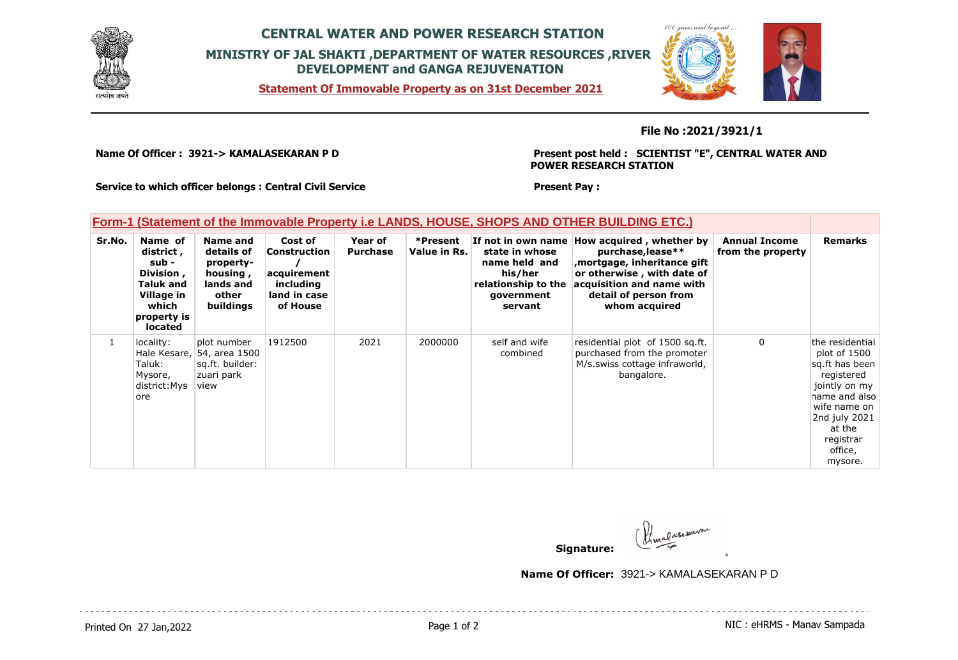

## **CENTRAL WATER AND POWER RESEARCH STATION MINISTRY OF JAL SHAKTI ,DEPARTMENT OF WATER RESOURCES ,RIVER DEVELOPMENT and GANGA REJUVENATION**

**Statement Of Immovable Property as on 31st December 2021**



#### **File No :2021/3921/1**

**Name Of Officer : 3921-> KAMALASEKARAN P D** 

**Present post held : SCIENTIST "E", CENTRAL WATER AND POWER RESEARCH STATION**

**Service to which officer belongs : Central Civil Service**

#### **Present Pay :**

### **Form-1 (Statement of the Immovable Property i.e LANDS, HOUSE, SHOPS AND OTHER BUILDING ETC.)**

| Sr.No. | Name of<br>district,<br>sub -<br>Division,<br>Taluk and<br>Village in<br>which<br>property is<br><b>located</b> | Name and<br>details of<br>property-<br>housing,<br>lands and<br>other<br>buildings | Cost of<br>Construction<br>acquirement<br>including<br>land in case<br>of House | Year of<br><b>Purchase</b> | *Present<br>Value in Rs. | If not in own name I<br>state in whose<br>name held and<br>his/her<br>relationship to the<br>government<br>servant | How acquired, whether by<br>purchase, lease**<br>mortgage, inheritance gift,<br>or otherwise, with date of<br>acquisition and name with<br>detail of person from<br>whom acquired | <b>Annual Income</b><br>from the property | <b>Remarks</b>                                                                                                                                                                  |
|--------|-----------------------------------------------------------------------------------------------------------------|------------------------------------------------------------------------------------|---------------------------------------------------------------------------------|----------------------------|--------------------------|--------------------------------------------------------------------------------------------------------------------|-----------------------------------------------------------------------------------------------------------------------------------------------------------------------------------|-------------------------------------------|---------------------------------------------------------------------------------------------------------------------------------------------------------------------------------|
|        | locality:<br>Taluk:<br>Mysore,<br>district:Mys<br>lore                                                          | plot number<br>Hale Kesare, 54, area 1500<br>sg.ft. builder:<br>zuari park<br>view | 1912500                                                                         | 2021                       | 2000000                  | self and wife<br>combined                                                                                          | residential plot of 1500 sq.ft.<br>purchased from the promoter<br>M/s.swiss cottage infraworld,<br>bangalore.                                                                     | $\mathbf{0}$                              | the residential<br>plot of 1500<br>sg.ft has been<br>registered<br>jointly on my<br>name and also<br>wife name on<br>2nd july 2021<br>at the<br>registrar<br>office,<br>mysore. |

**Signature:**

**Name Of Officer:** 3921-> KAMALASEKARAN P D

Printed On 27 Jan, 2022 2001 12:00 Page 1 of 2 Page 1 of 2 NIC : eHRMS - Manav Sampada